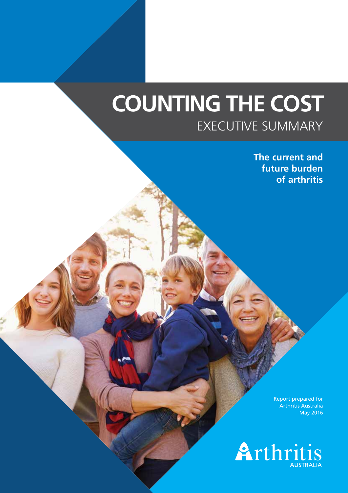# **COUNTING THE COST** EXECUTIVE SUMMARY

**The current and future burden of arthritis** 

> Report prepared for Arthritis Australia May 2016

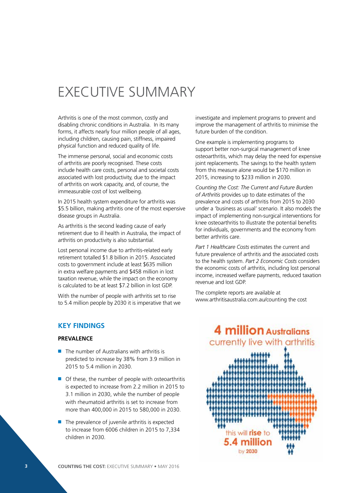# EXECUTIVE SUMMARY

Arthritis is one of the most common, costly and disabling chronic conditions in Australia. In its many forms, it affects nearly four million people of all ages, including children, causing pain, stiffness, impaired physical function and reduced quality of life.

The immense personal, social and economic costs of arthritis are poorly recognised. These costs include health care costs, personal and societal costs associated with lost productivity, due to the impact of arthritis on work capacity, and, of course, the immeasurable cost of lost wellbeing.

In 2015 health system expenditure for arthritis was \$5.5 billion, making arthritis one of the most expensive disease groups in Australia.

As arthritis is the second leading cause of early retirement due to ill health in Australia, the impact of arthritis on productivity is also substantial.

Lost personal income due to arthritis-related early retirement totalled \$1.8 billion in 2015. Associated costs to government include at least \$635 million in extra welfare payments and \$458 million in lost taxation revenue, while the impact on the economy is calculated to be at least \$7.2 billion in lost GDP.

With the number of people with arthritis set to rise to 5.4 million people by 2030 it is imperative that we

# **KEY FINDINGS**

### **PREVALENCE**

- $\blacksquare$  The number of Australians with arthritis is predicted to increase by 38% from 3.9 million in 2015 to 5.4 million in 2030.
- $\blacksquare$  Of these, the number of people with osteoarthritis is expected to increase from 2.2 million in 2015 to 3.1 million in 2030, while the number of people with rheumatoid arthritis is set to increase from more than 400,000 in 2015 to 580,000 in 2030.
- $\blacksquare$  The prevalence of juvenile arthritis is expected to increase from 6006 children in 2015 to 7,334 children in 2030.

investigate and implement programs to prevent and improve the management of arthritis to minimise the future burden of the condition.

One example is implementing programs to support better non-surgical management of knee osteoarthritis, which may delay the need for expensive joint replacements. The savings to the health system from this measure alone would be \$170 million in 2015, increasing to \$233 million in 2030.

*Counting the Cost: The Current and Future Burden of Arthritis* provides up to date estimates of the prevalence and costs of arthritis from 2015 to 2030 under a 'business as usual' scenario. It also models the impact of implementing non-surgical interventions for knee osteoarthritis to illustrate the potential benefits for individuals, governments and the economy from better arthritis care.

*Part 1 Healthcare Costs* estimates the current and future prevalence of arthritis and the associated costs to the health system. *Part 2 Economic Costs* considers the economic costs of arthritis, including lost personal income, increased welfare payments, reduced taxation revenue and lost GDP.

The complete reports are available at [www.arthritisaustralia.com.au/counting the cost](http://www.arthritisaustralia.com.au/index.php/reports/counting-the-cost.html)

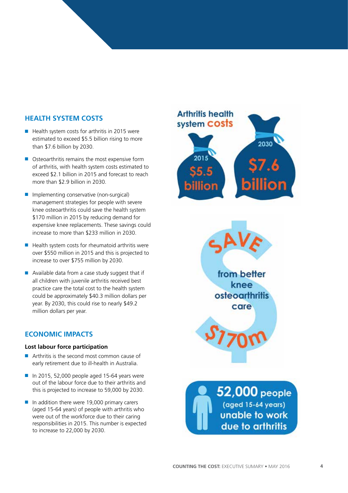# **HEALTH SYSTEM COSTS**

- $\blacksquare$  Health system costs for arthritis in 2015 were estimated to exceed \$5.5 billion rising to more than \$7.6 billion by 2030.
- $\blacksquare$  Osteoarthritis remains the most expensive form of arthritis, with health system costs estimated to exceed \$2.1 billion in 2015 and forecast to reach more than \$2.9 billion in 2030.
- $\blacksquare$  Implementing conservative (non-surgical) management strategies for people with severe knee osteoarthritis could save the health system \$170 million in 2015 by reducing demand for expensive knee replacements. These savings could increase to more than \$233 million in 2030.
- $\blacksquare$  Health system costs for rheumatoid arthritis were over \$550 million in 2015 and this is projected to increase to over \$755 million by 2030.
- $\blacksquare$  Available data from a case study suggest that if all children with juvenile arthritis received best practice care the total cost to the health system could be approximately \$40.3 million dollars per year. By 2030, this could rise to nearly \$49.2 million dollars per year.

# **ECONOMIC IMPACTS**

#### **Lost labour force participation**

- $\blacksquare$  Arthritis is the second most common cause of early retirement due to ill-health in Australia.
- $\blacksquare$  In 2015, 52,000 people aged 15-64 years were out of the labour force due to their arthritis and this is projected to increase to 59,000 by 2030.
- $\blacksquare$  In addition there were 19,000 primary carers (aged 15-64 years) of people with arthritis who were out of the workforce due to their caring responsibilities in 2015. This number is expected to increase to 22,000 by 2030.